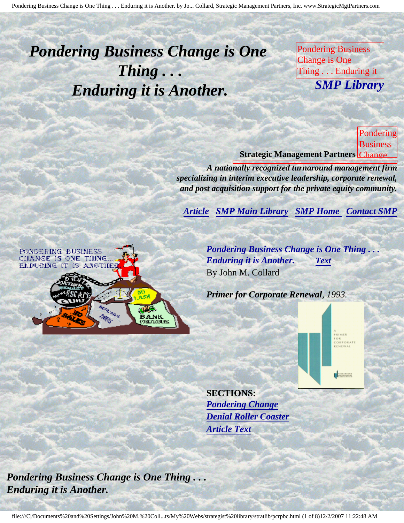## <span id="page-0-4"></span><span id="page-0-3"></span>*Pondering Business Change is One Thing . . . Enduring it is Another.*

BANK<br>ORCZER

Pondering Business Change is One Thing . . . Enduring it **instrumental SMP Library** *SMP Library*

Primer for Corporate Renewal, by John M. C. Strategic

Management Partners,

Journal Primer

M.

Collard, **Strategic** 

**Management Association** 

Inc., published by Turnaround **Strategic Management Partners Change** Pondering Business

Association is One *A nationally recognized turnaround management firm* Thing . . . *specializing in interim executive leadership, corporate renewal,* and post acquisition support for the private equity community.

*[Article](#page-0-0) [SMP Main Library](http://members.aol.com/stratlib3/libindx.html#TOP) [SMP Home](http://members.aol.com/strategist/home.html#TOP) [Contact SMP](#page-6-0)* 

<span id="page-0-2"></span><span id="page-0-0"></span>

for  $\mathcal{C}_{\mathcal{S}}$ ... Renewal, by John *Pondering Business Change is One Thing . . . Enduring it is Another. [Text](#page-0-1)* By John M. Collard

*Primer for Corporate Renewal, 1993.*



**SECTIONS:** *[Pondering Change](#page-0-1) [Denial Roller Coaster](#page-3-0) [Article Text](#page-0-1)*

<span id="page-0-1"></span>*Pondering Business Change is One Thing . . . Enduring it is Another.*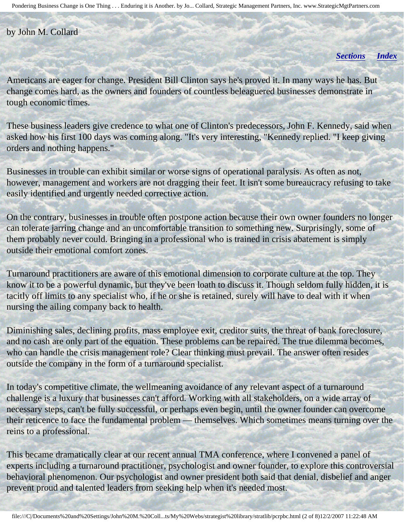by John M. Collard

## *[Sections](#page-0-2) [Index](#page-0-3)*

Americans are eager for change. President Bill Clinton says he's proved it. In many ways he has. But change comes hard, as the owners and founders of countless beleaguered businesses demonstrate in tough economic times.

These business leaders give credence to what one of Clinton's predecessors, John F. Kennedy, said when asked how his first 100 days was coming along. "It's very interesting, "Kennedy replied. "I keep giving orders and nothing happens."

Businesses in trouble can exhibit similar or worse signs of operational paralysis. As often as not, however, management and workers are not dragging their feet. It isn't some bureaucracy refusing to take easily identified and urgently needed corrective action.

On the contrary, businesses in trouble often postpone action because their own owner founders no longer can tolerate jarring change and an uncomfortable transition to something new. Surprisingly, some of them probably never could. Bringing in a professional who is trained in crisis abatement is simply outside their emotional comfort zones.

Turnaround practitioners are aware of this emotional dimension to corporate culture at the top. They know it to be a powerful dynamic, but they've been loath to discuss it. Though seldom fully hidden, it is tacitly off limits to any specialist who, if he or she is retained, surely will have to deal with it when nursing the ailing company back to health.

Diminishing sales, declining profits, mass employee exit, creditor suits, the threat of bank foreclosure, and no cash are only part of the equation. These problems can be repaired. The true dilemma becomes, who can handle the crisis management role? Clear thinking must prevail. The answer often resides outside the company in the form of a turnaround specialist.

In today's competitive climate, the wellmeaning avoidance of any relevant aspect of a turnaround challenge is a luxury that businesses can't afford. Working with all stakeholders, on a wide array of necessary steps, can't be fully successful, or perhaps even begin, until the owner founder can overcome their reticence to face the fundamental problem — themselves. Which sometimes means turning over the reins to a professional.

This became dramatically clear at our recent annual TMA conference, where I convened a panel of experts including a turnaround practitioner, psychologist and owner founder, to explore this controversial behavioral phenomenon. Our psychologist and owner president both said that denial, disbelief and anger prevent proud and talented leaders from seeking help when it's needed most.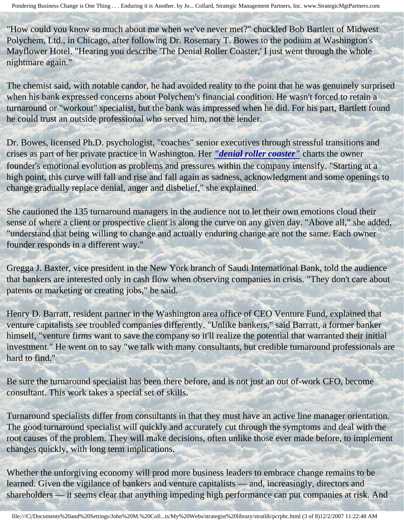"How could you know so much about me when we've never met?" chuckled Bob Bartlett of Midwest Polychem, Ltd., in Chicago, after following Dr. Rosemary T. Bowes to the podium at Washington's Mayflower Hotel. "Hearing you describe 'The Denial Roller Coaster,' I just went through the whole nightmare again."

The chemist said, with notable candor, he had avoided reality to the point that he was genuinely surprised when his bank expressed concerns about Polychem's financial condition. He wasn't forced to retain a turnaround or "workout" specialist, but the bank was impressed when he did. For his part, Bartlett found he could trust an outside professional who served him, not the lender.

Dr. Bowes, licensed Ph.D. psychologist, "coaches" senior executives through stressful transitions and crises as part of her private practice in Washington. Her *["denial roller coaster"](#page-3-0)* charts the owner founder's emotional evolution as problems and pressures within the company intensify. "Starting at a high point, this curve will fall and rise and fall again as sadness, acknowledgment and some openings to change gradually replace denial, anger and disbelief," she explained.

She cautioned the 135 turnaround managers in the audience not to let their own emotions cloud their sense of where a client or prospective client is along the curve on any given day. "Above all," she added, "understand that being willing to change and actually enduring change are not the same. Each owner founder responds in a different way."

Gregga J. Baxter, vice president in the New York branch of Saudi International Bank, told the audience that bankers are interested only in cash flow when observing companies in crisis. "They don't care about patents or marketing or creating jobs," he said.

Henry D. Barratt, resident partner in the Washington area office of CEO Venture Fund, explained that venture capitalists see troubled companies differently. "Unlike bankers," said Barratt, a former banker himself, "venture firms want to save the company so it'll realize the potential that warranted their initial investment." He went on to say "we talk with many consultants, but credible turnaround professionals are hard to find."

Be sure the turnaround specialist has been there before, and is not just an out of-work CFO, become consultant. This work takes a special set of skills.

Turnaround specialists differ from consultants in that they must have an active line manager orientation. The good turnaround specialist will quickly and accurately cut through the symptoms and deal with the root causes of the problem. They will make decisions, often unlike those ever made before, to implement changes quickly, with long term implications.

Whether the unforgiving economy will prod more business leaders to embrace change remains to be learned. Given the vigilance of bankers and venture capitalists — and, increasingly, directors and shareholders — it seems clear that anything impeding high performance can put companies at risk. And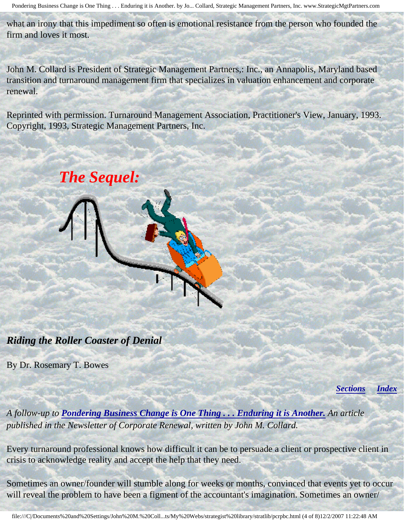what an irony that this impediment so often is emotional resistance from the person who founded the firm and loves it most.

John M. Collard is President of Strategic Management Partners,: Inc., an Annapolis, Maryland based transition and turnaround management firm that specializes in valuation enhancement and corporate renewal.

Reprinted with permission. Turnaround Management Association, Practitioner's View, January, 1993. Copyright, 1993, Strategic Management Partners, Inc.

## *The Sequel:*

*Riding the Roller Coaster of Denial*

By Dr. Rosemary T. Bowes

<span id="page-3-0"></span>į

*[Sections](#page-0-2) [Index](#page-0-3)*

*A follow-up to [Pondering Business Change is One Thing . . . Enduring it is Another.](#page-0-1) An article published in the Newsletter of Corporate Renewal, written by John M. Collard.*

Every turnaround professional knows how difficult it can be to persuade a client or prospective client in crisis to acknowledge reality and accept the help that they need.

Sometimes an owner/founder will stumble along for weeks or months, convinced that events yet to occur will reveal the problem to have been a figment of the accountant's imagination. Sometimes an owner/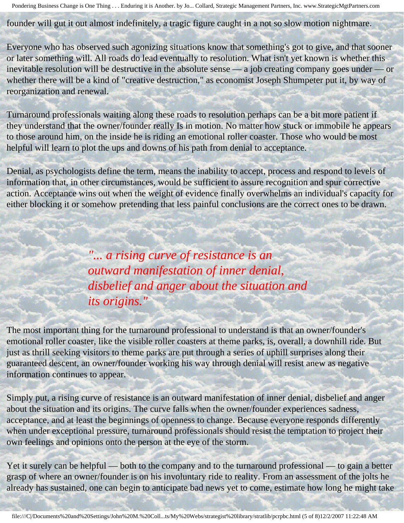founder will gut it out almost indefinitely, a tragic figure caught in a not so slow motion nightmare.

Everyone who has observed such agonizing situations know that something's got to give, and that sooner or later something will. All roads do lead eventually to resolution. What isn't yet known is whether this inevitable resolution will be destructive in the absolute sense — a job creating company goes under — or whether there will be a kind of "creative destruction," as economist Joseph Shumpeter put it, by way of reorganization and renewal.

Turnaround professionals waiting along these roads to resolution perhaps can be a bit more patient if they understand that the owner/founder really Is in motion. No matter how stuck or immobile he appears to those around him, on the inside he is riding an emotional roller coaster. Those who would be most helpful will learn to plot the ups and downs of his path from denial to acceptance.

Denial, as psychologists define the term, means the inability to accept, process and respond to levels of information that, in other circumstances, would be sufficient to assure recognition and spur corrective action. Acceptance wins out when the weight of evidence finally overwhelms an individual's capacity for either blocking it or somehow pretending that less painful conclusions are the correct ones to be drawn.

> *"... a rising curve of resistance is an outward manifestation of inner denial, disbelief and anger about the situation and its origins."*

The most important thing for the turnaround professional to understand is that an owner/founder's emotional roller coaster, like the visible roller coasters at theme parks, is, overall, a downhill ride. But just as thrill seeking visitors to theme parks are put through a series of uphill surprises along their guaranteed descent, an owner/founder working his way through denial will resist anew as negative information continues to appear.

Simply put, a rising curve of resistance is an outward manifestation of inner denial, disbelief and anger about the situation and its origins. The curve falls when the owner/founder experiences sadness, acceptance, and at least the beginnings of openness to change. Because everyone responds differently when under exceptional pressure, turnaround professionals should resist the temptation to project their own feelings and opinions onto the person at the eye of the storm.

Yet it surely can be helpful — both to the company and to the turnaround professional — to gain a better grasp of where an owner/founder is on his involuntary ride to reality. From an assessment of the jolts he already has sustained, one can begin to anticipate bad news yet to come, estimate how long he might take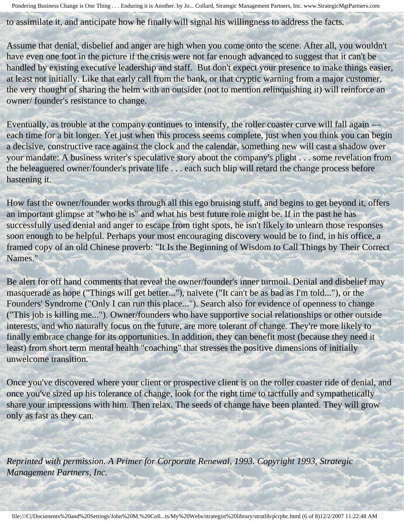to assimilate it, and anticipate how he finally will signal his willingness to address the facts.

Assume that denial, disbelief and anger are high when you come onto the scene. After all, you wouldn't have even one foot in the picture if the crisis were not far enough advanced to suggest that it can't be handled by existing executive leadership and staff. But don't expect your presence to make things easier, at least not initially. Like that early call from the bank, or that cryptic warning from a major customer, the very thought of sharing the helm with an outsider (not to mention relinquishing it) will reinforce an owner/ founder's resistance to change.

Eventually, as trouble at the company continues to intensify, the roller coaster curve will fall again each time for a bit longer. Yet just when this process seems complete, just when you think you can begin a decisive, constructive race against the clock and the calendar, something new will cast a shadow over your mandate: A business writer's speculative story about the company's plight . . . some revelation from the beleaguered owner/founder's private life . . . each such blip will retard the change process before hastening it.

How fast the owner/founder works through all this ego bruising stuff, and begins to get beyond it, offers an important glimpse at "who he is" and what his best future role might be. If in the past he has successfully used denial and anger to escape from tight spots, he isn't likely to unlearn those responses soon enough to be helpful. Perhaps your most encouraging discovery would be to find, in his office, a framed copy of an old Chinese proverb: "It Is the Beginning of Wisdom to Call Things by Their Correct Names."

Be alert for off hand comments that reveal the owner/founder's inner turmoil. Denial and disbelief may masquerade as hope ("Things will get better..."), naivete ("It can't be as bad as I'm told..."), or the Founders' Syndrome ("Only I can run this place..."). Search also for evidence of openness to change ("This job is killing me..."). Owner/founders who have supportive social relationships or other outside interests, and who naturally focus on the future, are more tolerant of change. They're more likely to finally embrace change for its opportunities. In addition, they can benefit most (because they need it least) from short term mental health "coaching" that stresses the positive dimensions of initially unwelcome transition.

Once you've discovered where your client or prospective client is on the roller coaster ride of denial, and once you've sized up his tolerance of change, look for the right time to tactfully and sympathetically share your impressions with him. Then relax. The seeds of change have been planted. They will grow only as fast as they can.

*Reprinted with permission. A Primer for Corporate Renewal, 1993. Copyright 1993, Strategic Management Partners, Inc.*